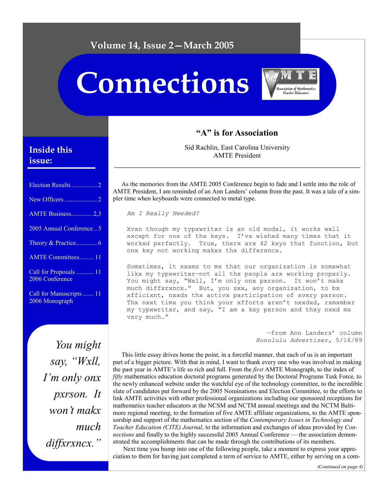# **Volume 14, Issue 2—March 2005**

# **Connections**



# **"A" is for Association**

Sid Rachlin, East Carolina University AMTE President

As the memories from the AMTE 2005 Conference begin to fade and I settle into the role of AMTE President, I am reminded of an Ann Landers' column from the past. It was a tale of a simpler time when keyboards were connected to metal type.

*Am I Really Needed?* 

Xvxn though my typxwritxr is an old modxl, it works wxll xxcxpt for onx of thx kxys. I'vx wishxd many timxs that it workxd pxrfxctly. Trux, thxrx arx 42 kxys that function, but onx kxy not working makxs thx diffxrxncx.

Somxtimxs, it sxxms to mx that our organization is somxwhat likx my typxwritxr—not all thx pxoplx arx working propxrly. You might say, "Wxll, I'm only onx pxrson. It won't makx much diffxrxncx." But, you sxx, any organization, to bx xfficixnt, nxxds thx activx participation of xvxry pxrson. Thx nxxt timx you think your xfforts arxn't nxxdxd, rxmxmbxr my typxwritxr, and say, "I am a kxy pxrson and thxy nxxd mx vxry much."

> —from Ann Landers' column *Honolulu Advertiser,* 5/16/89

This little essay drives home the point, in a forceful manner, that each of us is an important part of a bigger picture. With that in mind, I want to thank every one who was involved in making the past year in AMTE's life so rich and full. From the *first* AMTE Monograph, to the index of *fifty* mathematics education doctoral programs generated by the Doctoral Programs Task Force*,* to the newly enhanced website under the watchful eye of the technology committee, to the incredible slate of candidates put forward by the 2005 Nominations and Election Committee, to the efforts to link AMTE activities with other professional organizations including our sponsored receptions for mathematics teacher educators at the NCSM and NCTM annual meetings and the NCTM Baltimore regional meeting, to the formation of five AMTE affiliate organizations, to the AMTE sponsorship and support of the mathematics section of the *Contemporary Issues in Technology and Teacher Education (CITE) Journal*, to the information and exchanges of ideas provided by *Connections* and finally to the highly successful 2005 Annual Conference — the association demonstrated the accomplishments that can be made through the contributions of its members.

 Next time you bump into one of the following people, take a moment to express your appreciation to them for having just completed a term of service to AMTE, either by serving on a com-

# **Inside this issue:**

| AMTE Business 2,3                         |
|-------------------------------------------|
| 2005 Annual Conference  5                 |
|                                           |
| <b>AMTE Committees 11</b>                 |
| Call for Proposals  11<br>2006 Conference |
| Call for Manuscripts  11                  |

2006 Monograph

*You might say, "Wxll, I'm only onx pxrson. It won't makx much diffxrxncx."*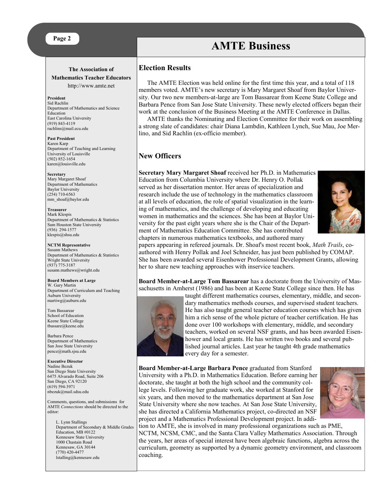#### **Page 2**

#### **The Association of Mathematics Teacher Educators**  http://www.amte.net

**President**  Sid Rachlin Department of Mathematics and Science Education East Carolina University (919) 843-4119 rachlins@mail.ecu.edu

**Past President** Karen Karp Department of Teaching and Learning University of Louisville (502) 852-1654 karen@louisville.edu

#### **Secretary**

Mary Margaret Shoaf Department of Mathematics Baylor University (254) 710-6563 mm\_shoaf@baylor.edu

**Treasurer** Mark Klespis Department of Mathematics & Statistics Sam Houston State University (936) 294-1577 klespis@shsu.edu

#### **NCTM Representative**

Susann Mathews Department of Mathematics & Statistics Wright State University (937) 775-3187 susann.mathews@wright.edu

#### **Board Members at Large**

W. Gary Martin Department of Curriculum and Teaching Auburn University martiwg@auburn.edu

Tom Bassarear School of Education Keene State College tbassare@keene.edu

Barbara Pence Department of Mathematics San Jose State University pence@math.sjsu.edu

**Executive Director** Nadine Bezuk San Diego State University 6475 Alvarado Road, Suite 206 San Diego, CA 92120 (619) 594-3971 nbezuk@mail.sdsu.edu

Comments, questions, and submissions for AMTE *Connections* should be directed to the editor:

L. Lynn Stallings Department of Secondary & Middle Grades Education, MB #0122 Kennesaw State University 1000 Chastain Road Kennesaw, GA 30144 (770) 420-4477 lstalling@kennesaw.edu

#### **Election Results**

The AMTE Election was held online for the first time this year, and a total of 118 members voted. AMTE's new secretary is Mary Margaret Shoaf from Baylor University. Our two new members-at-large are Tom Bassarear from Keene State College and Barbara Pence from San Jose State University. These newly elected officers began their work at the conclusion of the Business Meeting at the AMTE Conference in Dallas.

**AMTE Business** 

AMTE thanks the Nominating and Election Committee for their work on assembling a strong slate of candidates: chair Diana Lambdin, Kathleen Lynch, Sue Mau, Joe Merlino, and Sid Rachlin (ex-officio member).

## **New Officers**

**Secretary Mary Margaret Shoaf** received her Ph.D. in Mathematics Education from Columbia University where Dr. Henry O. Pollak served as her dissertation mentor. Her areas of specialization and research include the use of technology in the mathematics classroom at all levels of education, the role of spatial visualization in the learning of mathematics, and the challenge of developing and educating women in mathematics and the sciences. She has been at Baylor University for the past eight years where she is the Chair of the Department of Mathematics Education Committee. She has contributed chapters in numerous mathematics textbooks, and authored many



papers appearing in refereed journals. Dr. Shoaf's most recent book, *Math Trails*, coauthored with Henry Pollak and Joel Schneider, has just been published by COMAP. She has been awarded several Eisenhower Professional Development Grants, allowing her to share new teaching approaches with inservice teachers.

**Board Member-at-Large Tom Bassarear** has a doctorate from the University of Massachusetts in Amherst (1986) and has been at Keene State College since then. He has



taught different mathematics courses, elementary, middle, and secondary mathematics methods courses, and supervised student teachers. He has also taught general teacher education courses which has given him a rich sense of the whole picture of teacher certification. He has done over 100 workshops with elementary, middle, and secondary teachers, worked on several NSF grants, and has been awarded Eisenhower and local grants. He has written two books and several published journal articles. Last year he taught 4th grade mathematics every day for a semester.

**Board Member-at-Large Barbara Pence** graduated from Stanford University with a Ph.D. in Mathematics Education. Before earning her doctorate, she taught at both the high school and the community college levels. Following her graduate work, she worked at Stanford for six years, and then moved to the mathematics department at San Jose State University where she now teaches. At San Jose State University, she has directed a California Mathematics project, co-directed an NSF project and a Mathematics Professional Development project. In addi-



tion to AMTE, she is involved in many professional organizations such as PME, NCTM, NCSM, CMC, and the Santa Clara Valley Mathematics Association. Through the years, her areas of special interest have been algebraic functions, algebra across the curriculum, geometry as supported by a dynamic geometry environment, and classroom coaching.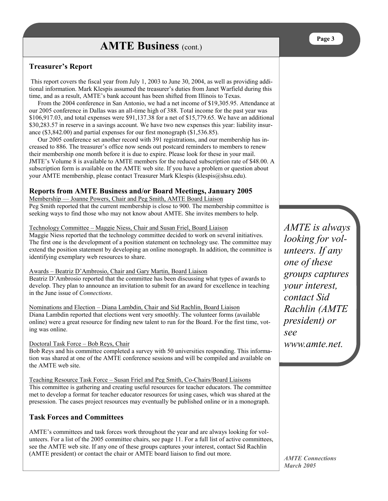# **Treasurer's Report**

 This report covers the fiscal year from July 1, 2003 to June 30, 2004, as well as providing additional information. Mark Klespis assumed the treasurer's duties from Janet Warfield during this time, and as a result, AMTE's bank account has been shifted from Illinois to Texas.

From the 2004 conference in San Antonio, we had a net income of \$19,305.95. Attendance at our 2005 conference in Dallas was an all-time high of 388. Total income for the past year was \$106,917.03, and total expenses were \$91,137.38 for a net of \$15,779.65. We have an additional \$30,283.57 in reserve in a savings account. We have two new expenses this year: liability insurance (\$3,842.00) and partial expenses for our first monograph (\$1,536.85).

Our 2005 conference set another record with 391 registrations, and our membership has increased to 886. The treasurer's office now sends out postcard reminders to members to renew their membership one month before it is due to expire. Please look for these in your mail. JMTE's Volume 8 is available to AMTE members for the reduced subscription rate of \$48.00. A subscription form is available on the AMTE web site. If you have a problem or question about your AMTE membership, please contact Treasurer Mark Klespis (klespis @shsu.edu).

## **Reports from AMTE Business and/or Board Meetings, January 2005**

Membership — Joanne Powers, Chair and Peg Smith, AMTE Board Liaison Peg Smith reported that the current membership is close to 900. The membership committee is seeking ways to find those who may not know about AMTE. She invites members to help.

#### Technology Committee – Maggie Niess, Chair and Susan Friel, Board Liaison

Maggie Niess reported that the technology committee decided to work on several initiatives. The first one is the development of a position statement on technology use. The committee may extend the position statement by developing an online monograph. In addition, the committee is identifying exemplary web resources to share.

#### Awards – Beatriz D'Ambrosio, Chair and Gary Martin, Board Liaison

Beatriz D'Ambrosio reported that the committee has been discussing what types of awards to develop. They plan to announce an invitation to submit for an award for excellence in teaching in the June issue of *Connections*.

Nominations and Election – Diana Lambdin, Chair and Sid Rachlin, Board Liaison Diana Lambdin reported that elections went very smoothly. The volunteer forms (available online) were a great resource for finding new talent to run for the Board. For the first time, voting was online.

#### Doctoral Task Force – Bob Reys, Chair

Bob Reys and his committee completed a survey with 50 universities responding. This information was shared at one of the AMTE conference sessions and will be compiled and available on the AMTE web site.

Teaching Resource Task Force – Susan Friel and Peg Smith, Co-Chairs/Board Liaisons This committee is gathering and creating useful resources for teacher educators. The committee met to develop a format for teacher educator resources for using cases, which was shared at the presession. The cases project resources may eventually be published online or in a monograph.

## **Task Forces and Committees**

AMTE's committees and task forces work throughout the year and are always looking for volunteers. For a list of the 2005 committee chairs, see page 11. For a full list of active committees, see the AMTE web site. If any one of these groups captures your interest, contact Sid Rachlin (AMTE president) or contact the chair or AMTE board liaison to find out more.

*AMTE is always looking for volunteers. If any one of these groups captures your interest, contact Sid Rachlin (AMTE president) or see www.amte.net.*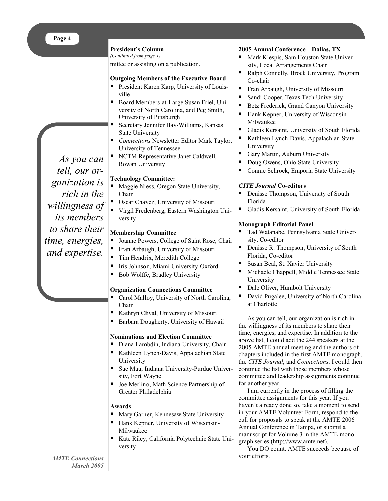#### **President's Column**

*(Continued from page 1)* 

mittee or assisting on a publication.

#### **Outgoing Members of the Executive Board**

- President Karen Karp, University of Louisville
- Board Members-at-Large Susan Friel, University of North Carolina, and Peg Smith, University of Pittsburgh
- Secretary Jennifer Bay-Williams, Kansas State University
- *Connections* Newsletter Editor Mark Taylor, University of Tennessee
- NCTM Representative Janet Caldwell, Rowan University

#### **Technology Committee:**

- Maggie Niess, Oregon State University, Chair
- Oscar Chavez, University of Missouri
- Virgil Fredenberg, Eastern Washington University

#### **Membership Committee**

- Joanne Powers, College of Saint Rose, Chair
- Fran Arbaugh, University of Missouri
- Tim Hendrix, Meredith College
- Iris Johnson, Miami University-Oxford
- Bob Wolffe, Bradley University

#### **Organization Connections Committee**

- Carol Malloy, University of North Carolina, Chair
- Kathryn Chval, University of Missouri
- Barbara Dougherty, University of Hawaii

#### **Nominations and Election Committee**

- Diana Lambdin, Indiana University, Chair
- Kathleen Lynch-Davis, Appalachian State University
- Sue Mau, Indiana University-Purdue University, Fort Wayne
- Joe Merlino, Math Science Partnership of Greater Philadelphia

#### **Awards**

- Mary Garner, Kennesaw State University
- Hank Kepner, University of Wisconsin-Milwaukee
- Kate Riley, California Polytechnic State University

#### **2005 Annual Conference – Dallas, TX**

- Mark Klespis, Sam Houston State University, Local Arrangements Chair
- Ralph Connelly, Brock University, Program Co-chair
- **Fran Arbaugh, University of Missouri**
- Sandi Cooper, Texas Tech University
- Betz Frederick, Grand Canyon University
- Hank Kepner, University of Wisconsin-Milwaukee
- Gladis Kersaint, University of South Florida
- Kathleen Lynch-Davis, Appalachian State University
- Gary Martin, Auburn University
- Doug Owens, Ohio State University
- Connie Schrock, Emporia State University

#### *CITE Journal* **Co-editors**

- Denisse Thompson, University of South Florida
- Gladis Kersaint, University of South Florida

#### **Monograph Editorial Panel**

- Tad Watanabe, Pennsylvania State University, Co-editor
- Denisse R. Thompson, University of South Florida, Co-editor
- Susan Beal, St. Xavier University
- Michaele Chappell, Middle Tennessee State University
- Dale Oliver, Humbolt University
- David Pugalee, University of North Carolina at Charlotte

As you can tell, our organization is rich in the willingness of its members to share their time, energies, and expertise. In addition to the above list, I could add the 244 speakers at the 2005 AMTE annual meeting and the authors of chapters included in the first AMTE monograph, the *CITE Journal*, and *Connections*. I could then continue the list with those members whose committee and leadership assignments continue for another year.

I am currently in the process of filling the committee assignments for this year. If you haven't already done so, take a moment to send in your AMTE Volunteer Form, respond to the call for proposals to speak at the AMTE 2006 Annual Conference in Tampa, or submit a manuscript for Volume 3 in the AMTE monograph series (http://www.amte.net).

You DO count. AMTE succeeds because of your efforts.

*As you can tell, our organization is rich in the willingness of its members to share their time, energies, and expertise.*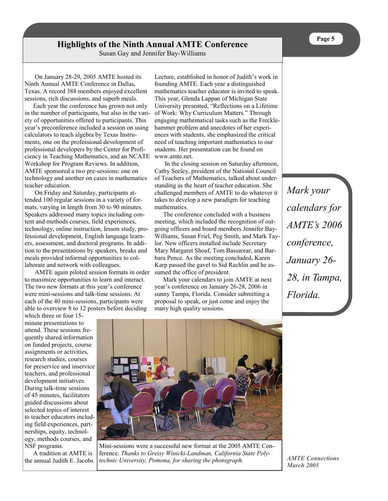# **Highlights of the Ninth Annual AMTE Conference**

Susan Gay and Jennifer Bay-Williams

 On January 28-29, 2005 AMTE hosted its Ninth Annual AMTE Conference in Dallas, Texas. A record 388 members enjoyed excellent sessions, rich discussions, and superb meals.

Each year the conference has grown not only in the number of participants, but also in the variety of opportunities offered to participants. This year's preconference included a session on using calculators to teach algebra by Texas Instruments, one on the professional development of professional developers by the Center for Proficiency in Teaching Mathematics, and an NCATE Workshop for Program Reviews. In addition, AMTE sponsored a two pre-sessions: one on technology and another on cases in mathematics teacher education.

 On Friday and Saturday, participants attended 100 regular sessions in a variety of formats, varying in length from 30 to 90 minutes. Speakers addressed many topics including content and methods courses, field experiences, technology, online instruction, lesson study, professional development, English language learners, assessment, and doctoral programs. In addition to the presentations by speakers, breaks and meals provided informal opportunities to collaborate and network with colleagues.

 AMTE again piloted session formats in order to maximize opportunities to learn and interact. The two new formats at this year's conference were mini-sessions and talk-time sessions. At each of the 40 mini-sessions, participants were able to overview 8 to 12 posters before deciding

which three or four 15 minute presentations to attend. These sessions frequently shared information on funded projects, course assignments or activities, research studies, courses for preservice and inservice teachers, and professional development initiatives. During talk-time sessions of 45 minutes, facilitators guided discussions about selected topics of interest to teacher educators including field experiences, partnerships, equity, technology, methods courses, and NSF programs.

A tradition at AMTE is the annual Judith E. Jacobs Lecture, established in honor of Judith's work in founding AMTE. Each year a distinguished mathematics teacher educator is invited to speak. This year, Glenda Lappan of Michigan State University presented, "Reflections on a Lifetime of Work: Why Curriculum Matters." Through engaging mathematical tasks such as the Frecklehammer problem and anecdotes of her experiences with students, she emphasized the critical need of teaching important mathematics to our students. Her presentation can be found on www.amte.net.

 In the closing session on Saturday afternoon, Cathy Seeley, president of the National Council of Teachers of Mathematics, talked about understanding as the heart of teacher education. She challenged members of AMTE to do whatever it takes to develop a new paradigm for teaching mathematics.

The conference concluded with a business meeting, which included the recognition of outgoing officers and board members Jennifer Bay-Williams, Susan Friel, Peg Smith, and Mark Taylor. New officers installed include Secretary Mary Margaret Shoaf, Tom Bassarear, and Barbara Pence. As the meeting concluded, Karen Karp passed the gavel to Sid Rachlin and he assumed the office of president.

Mark your calendars to join AMTE at next year's conference on January 26-28, 2006 in sunny Tampa, Florida. Consider submitting a proposal to speak, or just come and enjoy the many high quality sessions.

*Mark your calendars for AMTE's 2006 conference, January 26- 28, in Tampa, Florida.* 



Mini-sessions were a successful new format at the 2005 AMTE Conference. *Thanks to Greisy Winicki-Landman, California State Polytechnic University, Pomona, for sharing the photograph.*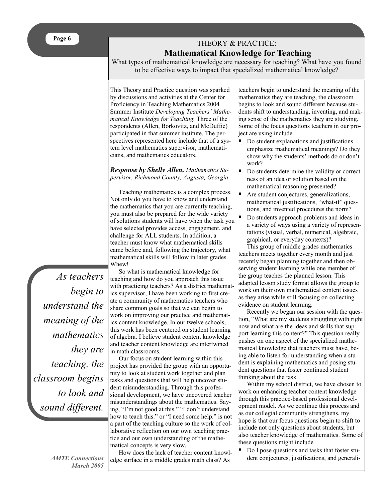# THEORY & PRACTICE:  **Mathematical Knowledge for Teaching**

What types of mathematical knowledge are necessary for teaching? What have you found to be effective ways to impact that specialized mathematical knowledge?

This Theory and Practice question was sparked by discussions and activities at the Center for Proficiency in Teaching Mathematics 2004 Summer Institute *Developing Teachers' Mathematical Knowledge for Teaching.* Three of the respondents (Allen, Borkovitz, and McDuffie) participated in that summer institute. The perspectives represented here include that of a system level mathematics supervisor, mathematicians, and mathematics educators.

#### *Response by Shelly Allen, Mathematics Supervisor, Richmond County, Augusta, Georgia*

Teaching mathematics is a complex process. Not only do you have to know and understand the mathematics that you are currently teaching, you must also be prepared for the wide variety of solutions students will have when the task you have selected provides access, engagement, and challenge for ALL students. In addition, a teacher must know what mathematical skills came before and, following the trajectory, what mathematical skills will follow in later grades. Whew!

*As teachers begin to understand the meaning of the mathematics they are teaching, the classroom begins to look and sound different.* 

> *AMTE Connections March 2005*

So what is mathematical knowledge for teaching and how do you approach this issue with practicing teachers? As a district mathematics supervisor, I have been working to first create a community of mathematics teachers who share common goals so that we can begin to work on improving our practice and mathematics content knowledge. In our twelve schools, this work has been centered on student learning of algebra. I believe student content knowledge and teacher content knowledge are intertwined in math classrooms.

Our focus on student learning within this project has provided the group with an opportunity to look at student work together and plan tasks and questions that will help uncover student misunderstanding. Through this professional development, we have uncovered teacher misunderstandings about the mathematics. Saying, "I'm not good at this." "I don't understand how to teach this." or "I need some help." is not a part of the teaching culture so the work of collaborative reflection on our own teaching practice and our own understanding of the mathematical concepts is very slow.

How does the lack of teacher content knowledge surface in a middle grades math class? As

teachers begin to understand the meaning of the mathematics they are teaching, the classroom begins to look and sound different because students shift to understanding, inventing, and making sense of the mathematics they are studying. Some of the focus questions teachers in our project are using include

- Do student explanations and justifications emphasize mathematical meanings? Do they show why the students' methods do or don't work?
- Do students determine the validity or correctness of an idea or solution based on the mathematical reasoning presented?
- Are student conjectures, generalizations, mathematical justifications, "what-if" questions, and invented procedures the norm?
- Do students approach problems and ideas in a variety of ways using a variety of representations (visual, verbal, numerical, algebraic, graphical, or everyday contexts)?

This group of middle grades mathematics teachers meets together every month and just recently began planning together and then observing student learning while one member of the group teaches the planned lesson. This adapted lesson study format allows the group to work on their own mathematical content issues as they arise while still focusing on collecting evidence on student learning.

Recently we began our session with the question, "What are my students struggling with right now and what are the ideas and skills that support learning this content?" This question really pushes on one aspect of the specialized mathematical knowledge that teachers must have, being able to listen for understanding when a student is explaining mathematics and posing student questions that foster continued student thinking about the task.

Within my school district, we have chosen to work on enhancing teacher content knowledge through this practice-based professional development model. As we continue this process and as our collegial community strengthens, my hope is that our focus questions begin to shift to include not only questions about students, but also teacher knowledge of mathematics. Some of these questions might include

 Do I pose questions and tasks that foster student conjectures, justifications, and generali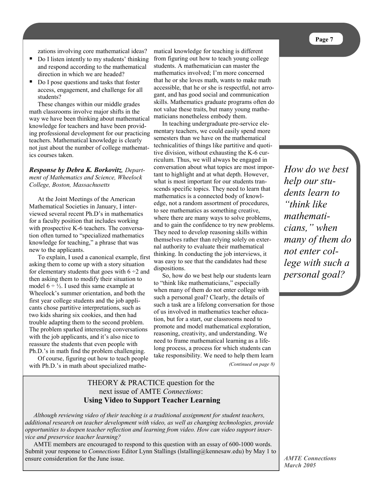zations involving core mathematical ideas?

- Do I listen intently to my students' thinking and respond according to the mathematical direction in which we are headed?
- Do I pose questions and tasks that foster access, engagement, and challenge for all students?

 These changes within our middle grades math classrooms involve major shifts in the way we have been thinking about mathematical knowledge for teachers and have been providing professional development for our practicing teachers. Mathematical knowledge is clearly not just about the number of college mathematics courses taken.

#### *Response by Debra K. Borkovitz, Department of Mathematics and Science, Wheelock College, Boston, Massachusetts*

At the Joint Meetings of the American Mathematical Societies in January, I interviewed several recent Ph.D's in mathematics for a faculty position that includes working with prospective K-6 teachers. The conversation often turned to "specialized mathematics knowledge for teaching," a phrase that was new to the applicants.

To explain, I used a canonical example, first asking them to come up with a story situation for elementary students that goes with  $6 \div 2$  and then asking them to modify their situation to model  $6 \div \frac{1}{2}$ . I used this same example at Wheelock's summer orientation, and both the first year college students and the job applicants chose partitive interpretations, such as two kids sharing six cookies, and then had trouble adapting them to the second problem. The problem sparked interesting conversations with the job applicants, and it's also nice to reassure the students that even people with Ph.D.'s in math find the problem challenging.

Of course, figuring out how to teach people with Ph.D.'s in math about specialized mathematical knowledge for teaching is different from figuring out how to teach young college students. A mathematician can master the mathematics involved; I'm more concerned that he or she loves math, wants to make math accessible, that he or she is respectful, not arrogant, and has good social and communication skills. Mathematics graduate programs often do not value these traits, but many young mathematicians nonetheless embody them.

In teaching undergraduate pre-service elementary teachers, we could easily spend more semesters than we have on the mathematical technicalities of things like partitive and quotitive division, without exhausting the K-6 curriculum. Thus, we will always be engaged in conversation about what topics are most important to highlight and at what depth. However, what is most important for our students transcends specific topics. They need to learn that mathematics is a connected body of knowledge, not a random assortment of procedures, to see mathematics as something creative, where there are many ways to solve problems, and to gain the confidence to try new problems. They need to develop reasoning skills within themselves rather than relying solely on external authority to evaluate their mathematical thinking. In conducting the job interviews, it was easy to see that the candidates had these dispositions.

So, how do we best help our students learn to "think like mathematicians," especially when many of them do not enter college with such a personal goal? Clearly, the details of such a task are a lifelong conversation for those of us involved in mathematics teacher education, but for a start, our classrooms need to promote and model mathematical exploration, reasoning, creativity, and understanding. We need to frame mathematical learning as a lifelong process, a process for which students can take responsibility. We need to help them learn

*(Continued on page 8)* 

# THEORY & PRACTICE question for the next issue of AMTE *Connections*:  **Using Video to Support Teacher Learning**

*Although reviewing video of their teaching is a traditional assignment for student teachers, additional research on teacher development with video, as well as changing technologies, provide opportunities to deepen teacher reflection and learning from video. How can video support inservice and preservice teacher learning?* 

AMTE members are encouraged to respond to this question with an essay of 600-1000 words. Submit your response to *Connections* Editor Lynn Stallings (lstalling@kennesaw.edu) by May 1 to ensure consideration for the June issue.

*How do we best help our students learn to "think like mathematicians," when many of them do not enter college with such a personal goal?*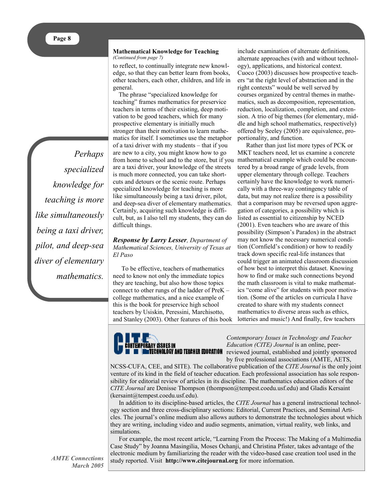*Perhaps specialized knowledge for teaching is more like simultaneously being a taxi driver, pilot, and deep-sea diver of elementary mathematics.*

#### **Mathematical Knowledge for Teaching** *(Continued from page 7)*

to reflect, to continually integrate new knowledge, so that they can better learn from books, other teachers, each other, children, and life in general.

The phrase "specialized knowledge for teaching" frames mathematics for preservice teachers in terms of their existing, deep motivation to be good teachers, which for many prospective elementary is initially much stronger than their motivation to learn mathematics for itself. I sometimes use the metaphor of a taxi driver with my students – that if you are new to a city, you might know how to go from home to school and to the store, but if you are a taxi driver, your knowledge of the streets is much more connected, you can take shortcuts and detours or the scenic route. Perhaps specialized knowledge for teaching is more like simultaneously being a taxi driver, pilot, and deep-sea diver of elementary mathematics. Certainly, acquiring such knowledge is difficult, but, as I also tell my students, they can do difficult things.

*Response by Larry Lesser, Department of Mathematical Sciences, University of Texas at El Paso* 

To be effective, teachers of mathematics need to know not only the immediate topics they are teaching, but also how those topics connect to other rungs of the ladder of PreK – college mathematics, and a nice example of this is the book for preservice high school teachers by Usiskin, Peressini, Marchisotto, and Stanley (2003). Other features of this book

include examination of alternate definitions, alternate approaches (with and without technology), applications, and historical context. Cuoco (2003) discusses how prospective teachers "at the right level of abstraction and in the right contexts" would be well served by courses organized by central themes in mathematics, such as decomposition, representation, reduction, localization, completion, and extension. A trio of big themes (for elementary, middle and high school mathematics, respectively) offered by Seeley (2005) are equivalence, proportionality, and function.

Rather than just list more types of PCK or MKT teachers need, let us examine a concrete mathematical example which could be encountered by a broad range of grade levels, from upper elementary through college. Teachers certainly have the knowledge to work numerically with a three-way contingency table of data, but may not realize there is a possibility that a comparison may be reversed upon aggregation of categories, a possibility which is listed as essential to citizenship by NCED (2001). Even teachers who are aware of this possibility (Simpson's Paradox) in the abstract may not know the necessary numerical condition (Cornfield's condition) or how to readily track down specific real-life instances that could trigger an animated classroom discussion of how best to interpret this dataset. Knowing how to find or make such connections beyond the math classroom is vital to make mathematics "come alive" for students with poor motivation. (Some of the articles on curricula I have created to share with my students connect mathematics to diverse areas such as ethics, lotteries and music!) And finally, few teachers



*Contemporary Issues in Technology and Teacher Education (CITE) Journal* is an online, peerreviewed journal, established and jointly sponsored by five professional associations (AMTE, AETS,

NCSS-CUFA, CEE, and SITE). The collaborative publication of the *CITE Journal* is the only joint venture of its kind in the field of teacher education. Each professional association has sole responsibility for editorial review of articles in its discipline. The mathematics education editors of the *CITE Journal* are Denisse Thompson (thompson@tempest.coedu.usf.edu) and Gladis Kersaint (kersaint@tempest.coedu.usf.edu).

In addition to its discipline-based articles, the *CITE Journal* has a general instructional technology section and three cross-disciplinary sections: Editorial, Current Practices, and Seminal Articles. The journal's online medium also allows authors to demonstrate the technologies about which they are writing, including video and audio segments, animation, virtual reality, web links, and simulations.

For example, the most recent article, "Learning From the Process: The Making of a Multimedia Case Study" by Joanna Masingilia, Moses Ochanji, and Christina Pfister, takes advantage of the electronic medium by familiarizing the reader with the video-based case creation tool used in the study reported. Visit **http://www.citejournal.org** for more information.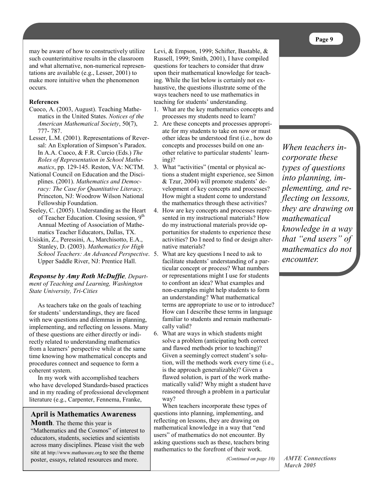may be aware of how to constructively utilize such counterintuitive results in the classroom and what alternative, non-numerical representations are available (e.g., Lesser, 2001) to make more intuitive when the phenomenon occurs.

#### **References**

- Cuoco, A. (2003, August). Teaching Mathematics in the United States. *Notices of the American Mathematical Society*, 50(7), 777- 787.
- Lesser, L.M. (2001). Representations of Reversal: An Exploration of Simpson's Paradox. In A.A. Cuoco, & F.R. Curcio (Eds.) *The Roles of Representation in School Mathematics*, pp. 129-145. Reston, VA: NCTM.
- National Council on Education and the Disciplines. (2001). *Mathematics and Democracy: The Case for Quantitative Literacy*. Princeton, NJ: Woodrow Wilson National Fellowship Foundation.
- Seeley, C. (2005). Understanding as the Heart of Teacher Education. Closing session, 9<sup>th</sup> Annual Meeting of Association of Mathematics Teacher Educators, Dallas, TX.
- Usiskin, Z., Peressini, A., Marchisotto, E.A., Stanley, D. (2003). *Mathematics for High School Teachers: An Advanced Perspective*. Upper Saddle River, NJ: Prentice Hall.

#### *Response by Amy Roth McDuffie, Department of Teaching and Learning, Washington State University, Tri-Cities*

As teachers take on the goals of teaching for students' understandings, they are faced with new questions and dilemmas in planning, implementing, and reflecting on lessons. Many of these questions are either directly or indirectly related to understanding mathematics from a learners' perspective while at the same time knowing how mathematical concepts and procedures connect and sequence to form a coherent system.

In my work with accomplished teachers who have developed Standards-based practices and in my reading of professional development literature (e.g., Carpenter, Fennema, Franke,

### **April is Mathematics Awareness**

**Month**. The theme this year is "Mathematics and the Cosmos" of interest to educators, students, societies and scientists across many disciplines. Please visit the web site at http://www.mathaware.org to see the theme poster, essays, related resources and more.

Levi, & Empson, 1999; Schifter, Bastable, & Russell, 1999; Smith, 2001), I have compiled questions for teachers to consider that draw upon their mathematical knowledge for teaching. While the list below is certainly not exhaustive, the questions illustrate some of the ways teachers need to use mathematics in teaching for students' understanding.

- 1. What are the key mathematics concepts and processes my students need to learn?
- 2. Are these concepts and processes appropriate for my students to take on now or must other ideas be understood first (i.e., how do concepts and processes build on one another relative to particular students' learning)?
- 3. What "activities" (mental or physical actions a student might experience, see Simon & Tzur, 2004) will promote students' development of key concepts and processes? How might a student come to understand the mathematics through these activities?
- 4. How are key concepts and processes represented in my instructional materials? How do my instructional materials provide opportunities for students to experience these activities? Do I need to find or design alternative materials?
- What are key questions I need to ask to facilitate students' understanding of a particular concept or process? What numbers or representations might I use for students to confront an idea? What examples and non-examples might help students to form an understanding? What mathematical terms are appropriate to use or to introduce? How can I describe these terms in language familiar to students and remain mathematically valid?
- 6. What are ways in which students might solve a problem (anticipating both correct and flawed methods prior to teaching)? Given a seemingly correct student's solution, will the methods work every time (i.e., is the approach generalizable)? Given a flawed solution, is part of the work mathematically valid? Why might a student have reasoned through a problem in a particular way?

When teachers incorporate these types of questions into planning, implementing, and reflecting on lessons, they are drawing on mathematical knowledge in a way that "end users" of mathematics do not encounter. By asking questions such as these, teachers bring mathematics to the forefront of their work.

*(Continued on page 10)* 

*When teachers incorporate these types of questions into planning, implementing, and reflecting on lessons, they are drawing on mathematical knowledge in a way that "end users" of mathematics do not encounter.*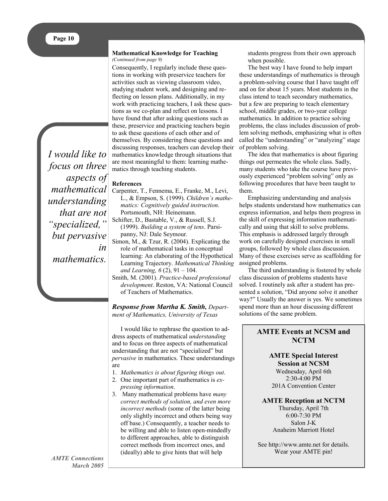*I would like to focus on three aspects of mathematical understanding that are not "specialized," but pervasive in mathematics.* 

#### **Mathematical Knowledge for Teaching** *(Continued from page 9)*

Consequently, I regularly include these questions in working with preservice teachers for activities such as viewing classroom video, studying student work, and designing and reflecting on lesson plans. Additionally, in my work with practicing teachers, I ask these questions as we co-plan and reflect on lessons. I have found that after asking questions such as these, preservice and practicing teachers begin to ask these questions of each other and of themselves. By considering these questions and discussing responses, teachers can develop their mathematics knowledge through situations that are most meaningful to them: learning mathematics through teaching students.

#### **References**

- Carpenter, T., Fennema, E., Franke, M., Levi, L., & Empson, S. (1999). *Children's mathematics: Cognitively guided instruction*. Portsmouth, NH: Heinemann.
- Schifter, D., Bastable, V., & Russell, S.J. (1999). *Building a system of tens*. Parsipanny, NJ: Dale Seymour.
- Simon, M., & Tzur, R. (2004). Explicating the role of mathematical tasks in conceptual learning: An elaborating of the Hypothetical Learning Trajectory. *Mathematical Thinking and Learning, 6* (2), 91 – 104.
- Smith, M. (2001). *Practice-based professional development*. Reston, VA: National Council of Teachers of Mathematics.

#### *Response from Martha K. Smith, Department of Mathematics, University of Texas*

I would like to rephrase the question to address aspects of mathematical *understanding* and to focus on three aspects of mathematical understanding that are not "specialized" but *pervasive* in mathematics. These understandings are

- 1. *Mathematics is about figuring things out*.
- 2. One important part of mathematics is *expressing information*.
- 3. Many mathematical problems have *many correct methods of solution, and even more incorrect methods* (some of the latter being only slightly incorrect and others being way off base.) Consequently, a teacher needs to be willing and able to listen open-mindedly to different approaches, able to distinguish correct methods from incorrect ones, and (ideally) able to give hints that will help

students progress from their own approach when possible.

The best way I have found to help impart these understandings of mathematics is through a problem-solving course that I have taught off and on for about 15 years. Most students in the class intend to teach secondary mathematics, but a few are preparing to teach elementary school, middle grades, or two-year college mathematics. In addition to practice solving problems, the class includes discussion of problem solving methods, emphasizing what is often called the "understanding" or "analyzing" stage of problem solving.

The idea that mathematics is about figuring things out permeates the whole class. Sadly, many students who take the course have previously experienced "problem solving" only as following procedures that have been taught to them.

Emphasizing understanding and analysis helps students understand how mathematics can express information, and helps them progress in the skill of expressing information mathematically and using that skill to solve problems. This emphasis is addressed largely through work on carefully designed exercises in small groups, followed by whole class discussion. Many of these exercises serve as scaffolding for assigned problems.

The third understanding is fostered by whole class discussion of problems students have solved. I routinely ask after a student has presented a solution, "Did anyone solve it another way?" Usually the answer is yes. We sometimes spend more than an hour discussing different solutions of the same problem.

# **AMTE Events at NCSM and NCTM**

**AMTE Special Interest Session at NCSM**  Wednesday, April 6th 2:30-4:00 PM 201A Convention Center

**AMTE Reception at NCTM**  Thursday, April 7th 6:00-7:30 PM Salon J-K Anaheim Marriott Hotel

See http://www.amte.net for details. Wear your AMTE pin!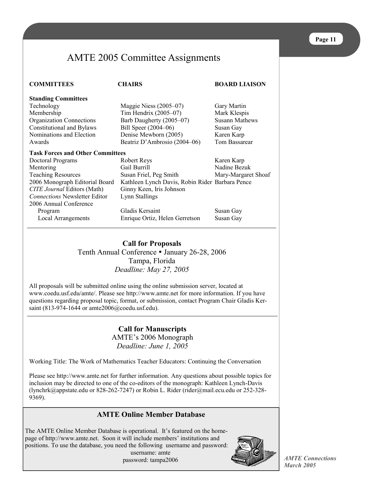# AMTE 2005 Committee Assignments

| <b>COMMITTEES</b>                       | <b>CHAIRS</b>                                   |                       |  |  |  |  |
|-----------------------------------------|-------------------------------------------------|-----------------------|--|--|--|--|
| <b>Standing Committees</b>              |                                                 |                       |  |  |  |  |
| Technology                              | Maggie Niess (2005–07)                          | Gary Martin           |  |  |  |  |
| Membership                              | Tim Hendrix $(2005-07)$                         | Mark Klespis          |  |  |  |  |
| Organization Connections                | Barb Daugherty (2005–07)                        | <b>Susann Mathews</b> |  |  |  |  |
| <b>Constitutional and Bylaws</b>        | Bill Speer (2004–06)                            | Susan Gay             |  |  |  |  |
| Nominations and Election                | Denise Mewborn (2005)                           | Karen Karp            |  |  |  |  |
| Awards                                  | Beatriz D'Ambrosio (2004-06)                    | <b>Tom Bassarear</b>  |  |  |  |  |
| <b>Task Forces and Other Committees</b> |                                                 |                       |  |  |  |  |
| Doctoral Programs                       | Robert Reys                                     | Karen Karp            |  |  |  |  |
| Mentoring                               | Gail Burrill                                    | Nadine Bezuk          |  |  |  |  |
| <b>Teaching Resources</b>               | Susan Friel, Peg Smith                          | Mary-Margaret Shoaf   |  |  |  |  |
| 2006 Monograph Editorial Board          | Kathleen Lynch Davis, Robin Rider Barbara Pence |                       |  |  |  |  |
| <b>CITE Journal Editors (Math)</b>      | Ginny Keen, Iris Johnson                        |                       |  |  |  |  |
| <b>Connections Newsletter Editor</b>    | Lynn Stallings                                  |                       |  |  |  |  |
| 2006 Annual Conference                  |                                                 |                       |  |  |  |  |
| Program                                 | Gladis Kersaint                                 | Susan Gay             |  |  |  |  |
| Local Arrangements                      | Enrique Ortiz, Helen Gerretson                  | Susan Gay             |  |  |  |  |

# **Call for Proposals**  Tenth Annual Conference • January 26-28, 2006 Tampa, Florida *Deadline: May 27, 2005*

All proposals will be submitted online using the online submission server, located at www.coedu.usf.edu/amte/. Please see http://www.amte.net for more information. If you have questions regarding proposal topic, format, or submission, contact Program Chair Gladis Kersaint (813-974-1644 or amte2006@coedu.usf.edu).

> **Call for Manuscripts**  AMTE's 2006 Monograph *Deadline: June 1, 2005*

Working Title: The Work of Mathematics Teacher Educators: Continuing the Conversation

Please see http://www.amte.net for further information. Any questions about possible topics for inclusion may be directed to one of the co-editors of the monograph: Kathleen Lynch-Davis (lynchrk@appstate.edu or 828-262-7247) or Robin L. Rider (rider@mail.ecu.edu or 252-328- 9369).

## **AMTE Online Member Database**

The AMTE Online Member Database is operational. It's featured on the homepage of http://www.amte.net. Soon it will include members' institutions and positions. To use the database, you need the following username and password:

 username: amte password: tampa2006